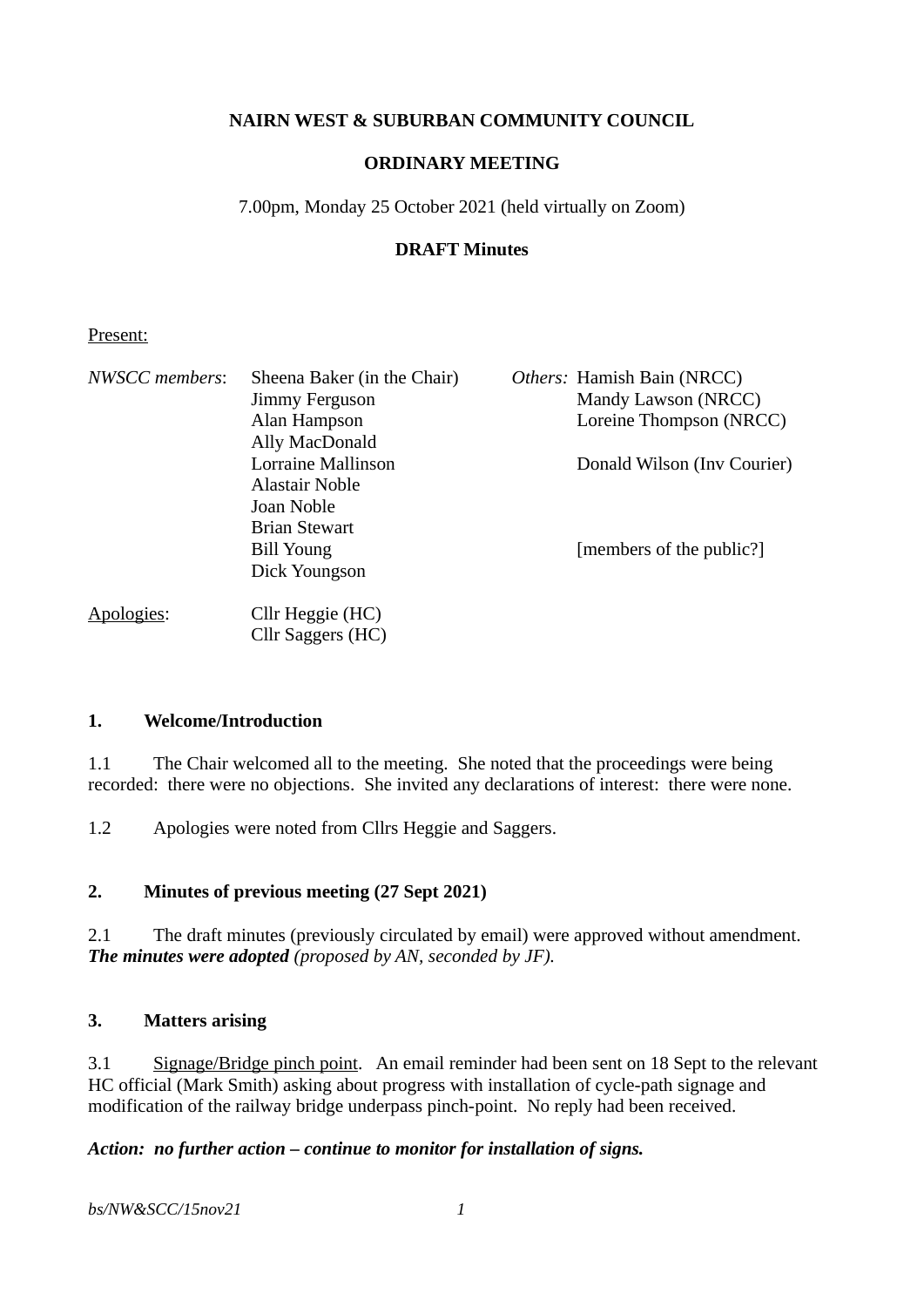### **NAIRN WEST & SUBURBAN COMMUNITY COUNCIL**

### **ORDINARY MEETING**

7.00pm, Monday 25 October 2021 (held virtually on Zoom)

#### **DRAFT Minutes**

#### Present:

| NWSCC members: | Sheena Baker (in the Chair) | Others: Hamish Bain (NRCC)  |
|----------------|-----------------------------|-----------------------------|
|                | Jimmy Ferguson              | Mandy Lawson (NRCC)         |
|                | Alan Hampson                | Loreine Thompson (NRCC)     |
|                | Ally MacDonald              |                             |
|                | Lorraine Mallinson          | Donald Wilson (Inv Courier) |
|                | Alastair Noble              |                             |
|                | Joan Noble                  |                             |
|                | <b>Brian Stewart</b>        |                             |
|                | Bill Young                  | [members of the public?]    |
|                | Dick Youngson               |                             |
| Apologies:     | Cllr Heggie (HC)            |                             |
|                | Cllr Saggers (HC)           |                             |

#### **1. Welcome/Introduction**

1.1 The Chair welcomed all to the meeting. She noted that the proceedings were being recorded: there were no objections. She invited any declarations of interest: there were none.

1.2 Apologies were noted from Cllrs Heggie and Saggers.

### **2. Minutes of previous meeting (27 Sept 2021)**

2.1 The draft minutes (previously circulated by email) were approved without amendment. *The minutes were adopted (proposed by AN, seconded by JF).*

#### **3. Matters arising**

3.1 Signage/Bridge pinch point. An email reminder had been sent on 18 Sept to the relevant HC official (Mark Smith) asking about progress with installation of cycle-path signage and modification of the railway bridge underpass pinch-point. No reply had been received.

#### *Action: no further action – continue to monitor for installation of signs.*

*bs/NW&SCC/15nov21 1*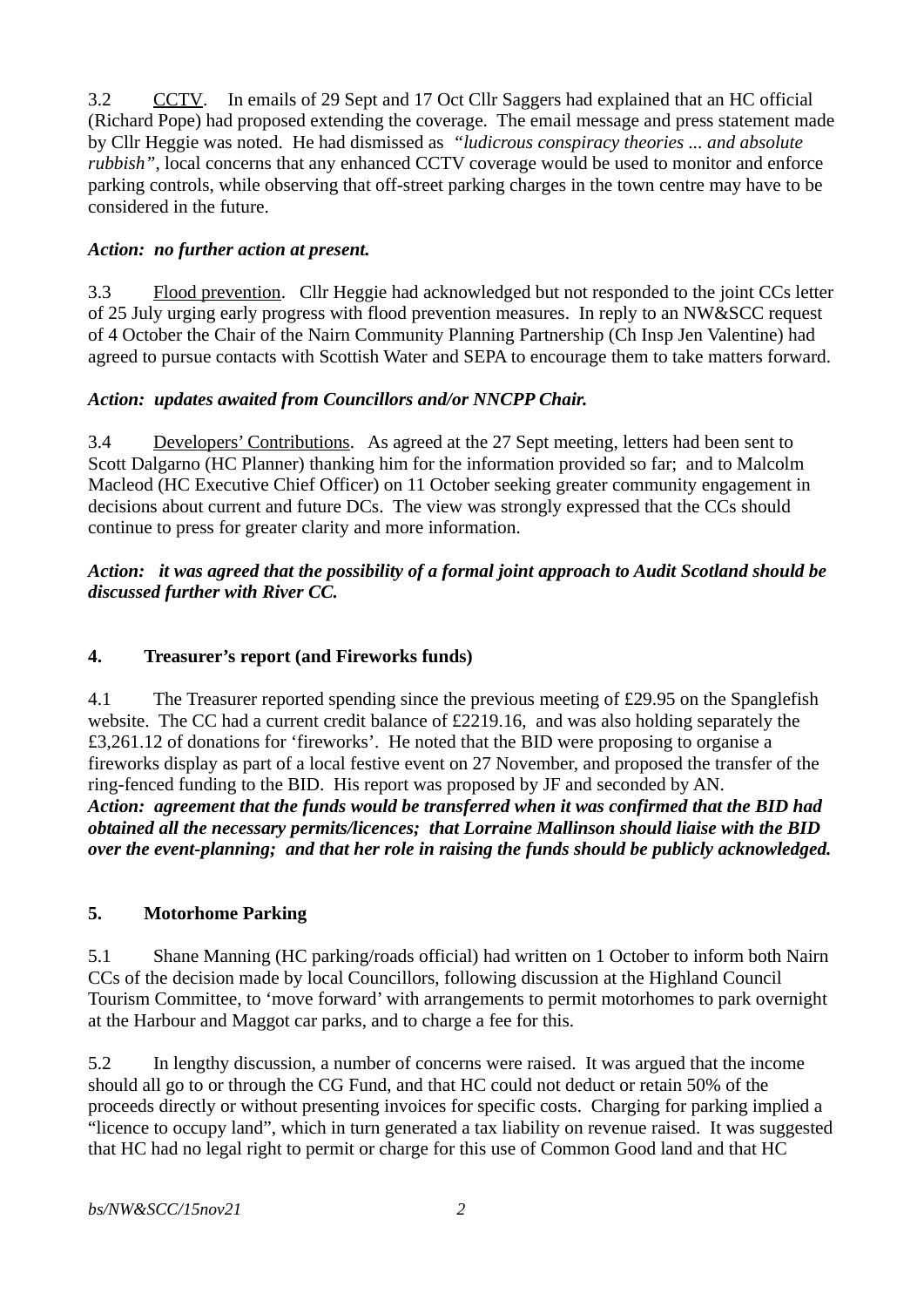3.2 CCTV. In emails of 29 Sept and 17 Oct Cllr Saggers had explained that an HC official (Richard Pope) had proposed extending the coverage. The email message and press statement made by Cllr Heggie was noted. He had dismissed as *"ludicrous conspiracy theories ... and absolute rubbish"*, local concerns that any enhanced CCTV coverage would be used to monitor and enforce parking controls, while observing that off-street parking charges in the town centre may have to be considered in the future.

## *Action: no further action at present.*

3.3 Flood prevention. Cllr Heggie had acknowledged but not responded to the joint CCs letter of 25 July urging early progress with flood prevention measures. In reply to an NW&SCC request of 4 October the Chair of the Nairn Community Planning Partnership (Ch Insp Jen Valentine) had agreed to pursue contacts with Scottish Water and SEPA to encourage them to take matters forward.

## *Action: updates awaited from Councillors and/or NNCPP Chair.*

3.4 Developers' Contributions. As agreed at the 27 Sept meeting, letters had been sent to Scott Dalgarno (HC Planner) thanking him for the information provided so far; and to Malcolm Macleod (HC Executive Chief Officer) on 11 October seeking greater community engagement in decisions about current and future DCs. The view was strongly expressed that the CCs should continue to press for greater clarity and more information.

### *Action: it was agreed that the possibility of a formal joint approach to Audit Scotland should be discussed further with River CC.*

## **4. Treasurer's report (and Fireworks funds)**

4.1 The Treasurer reported spending since the previous meeting of £29.95 on the Spanglefish website. The CC had a current credit balance of £2219.16, and was also holding separately the £3,261.12 of donations for 'fireworks'. He noted that the BID were proposing to organise a fireworks display as part of a local festive event on 27 November, and proposed the transfer of the ring-fenced funding to the BID. His report was proposed by JF and seconded by AN. *Action: agreement that the funds would be transferred when it was confirmed that the BID had obtained all the necessary permits/licences; that Lorraine Mallinson should liaise with the BID over the event-planning; and that her role in raising the funds should be publicly acknowledged.*

### **5. Motorhome Parking**

5.1 Shane Manning (HC parking/roads official) had written on 1 October to inform both Nairn CCs of the decision made by local Councillors, following discussion at the Highland Council Tourism Committee, to 'move forward' with arrangements to permit motorhomes to park overnight at the Harbour and Maggot car parks, and to charge a fee for this.

5.2 In lengthy discussion, a number of concerns were raised. It was argued that the income should all go to or through the CG Fund, and that HC could not deduct or retain 50% of the proceeds directly or without presenting invoices for specific costs. Charging for parking implied a "licence to occupy land", which in turn generated a tax liability on revenue raised. It was suggested that HC had no legal right to permit or charge for this use of Common Good land and that HC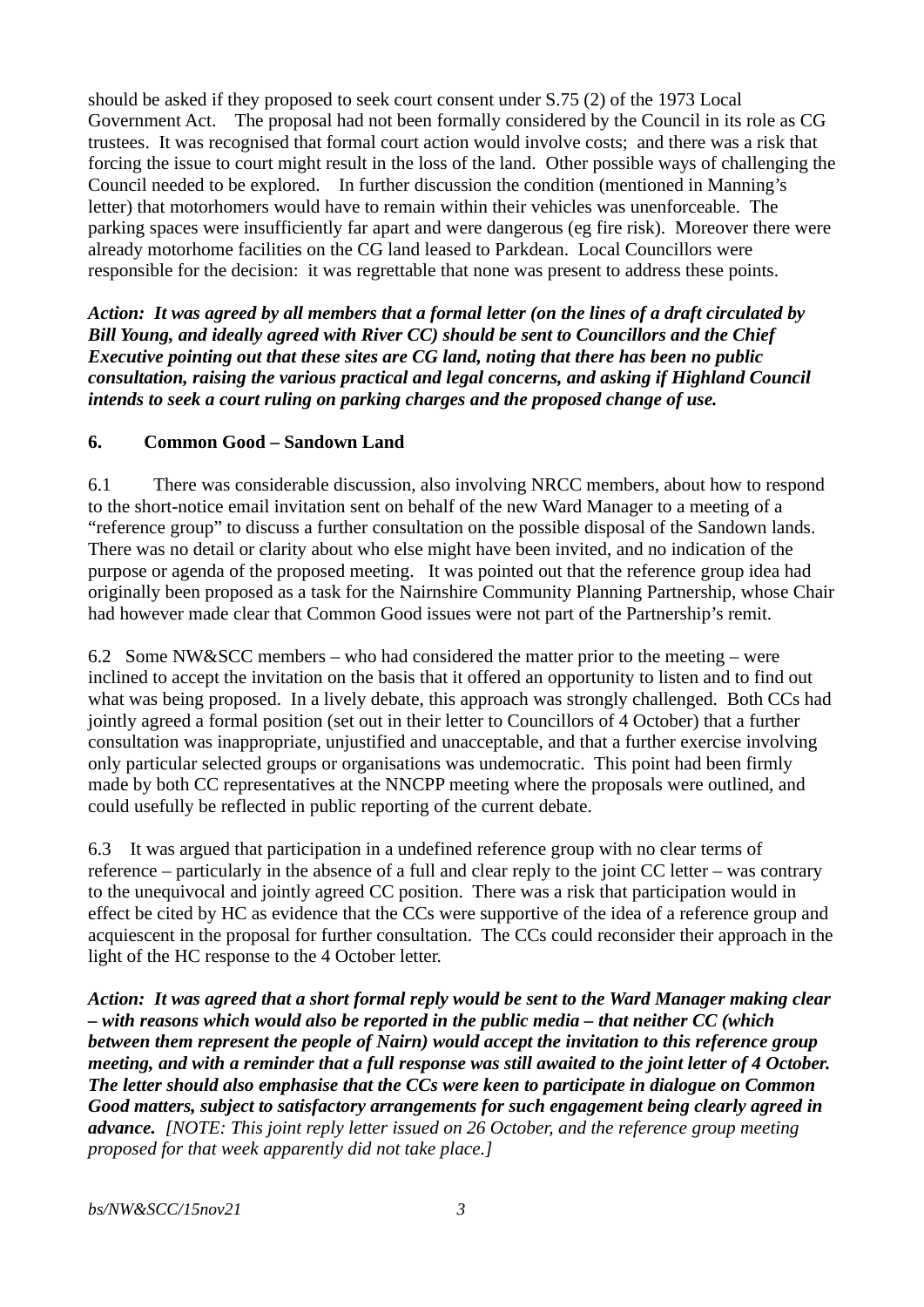should be asked if they proposed to seek court consent under S.75 (2) of the 1973 Local Government Act. The proposal had not been formally considered by the Council in its role as CG trustees. It was recognised that formal court action would involve costs; and there was a risk that forcing the issue to court might result in the loss of the land. Other possible ways of challenging the Council needed to be explored. In further discussion the condition (mentioned in Manning's letter) that motorhomers would have to remain within their vehicles was unenforceable. The parking spaces were insufficiently far apart and were dangerous (eg fire risk). Moreover there were already motorhome facilities on the CG land leased to Parkdean. Local Councillors were responsible for the decision: it was regrettable that none was present to address these points.

*Action: It was agreed by all members that a formal letter (on the lines of a draft circulated by Bill Young, and ideally agreed with River CC) should be sent to Councillors and the Chief Executive pointing out that these sites are CG land, noting that there has been no public consultation, raising the various practical and legal concerns, and asking if Highland Council intends to seek a court ruling on parking charges and the proposed change of use.* 

#### **6. Common Good – Sandown Land**

6.1 There was considerable discussion, also involving NRCC members, about how to respond to the short-notice email invitation sent on behalf of the new Ward Manager to a meeting of a "reference group" to discuss a further consultation on the possible disposal of the Sandown lands. There was no detail or clarity about who else might have been invited, and no indication of the purpose or agenda of the proposed meeting. It was pointed out that the reference group idea had originally been proposed as a task for the Nairnshire Community Planning Partnership, whose Chair had however made clear that Common Good issues were not part of the Partnership's remit.

6.2 Some NW&SCC members – who had considered the matter prior to the meeting – were inclined to accept the invitation on the basis that it offered an opportunity to listen and to find out what was being proposed. In a lively debate, this approach was strongly challenged. Both CCs had jointly agreed a formal position (set out in their letter to Councillors of 4 October) that a further consultation was inappropriate, unjustified and unacceptable, and that a further exercise involving only particular selected groups or organisations was undemocratic. This point had been firmly made by both CC representatives at the NNCPP meeting where the proposals were outlined, and could usefully be reflected in public reporting of the current debate.

6.3 It was argued that participation in a undefined reference group with no clear terms of reference – particularly in the absence of a full and clear reply to the joint CC letter – was contrary to the unequivocal and jointly agreed CC position. There was a risk that participation would in effect be cited by HC as evidence that the CCs were supportive of the idea of a reference group and acquiescent in the proposal for further consultation. The CCs could reconsider their approach in the light of the HC response to the 4 October letter.

*Action: It was agreed that a short formal reply would be sent to the Ward Manager making clear – with reasons which would also be reported in the public media – that neither CC (which between them represent the people of Nairn) would accept the invitation to this reference group meeting, and with a reminder that a full response was still awaited to the joint letter of 4 October. The letter should also emphasise that the CCs were keen to participate in dialogue on Common Good matters, subject to satisfactory arrangements for such engagement being clearly agreed in advance. [NOTE: This joint reply letter issued on 26 October, and the reference group meeting proposed for that week apparently did not take place.]*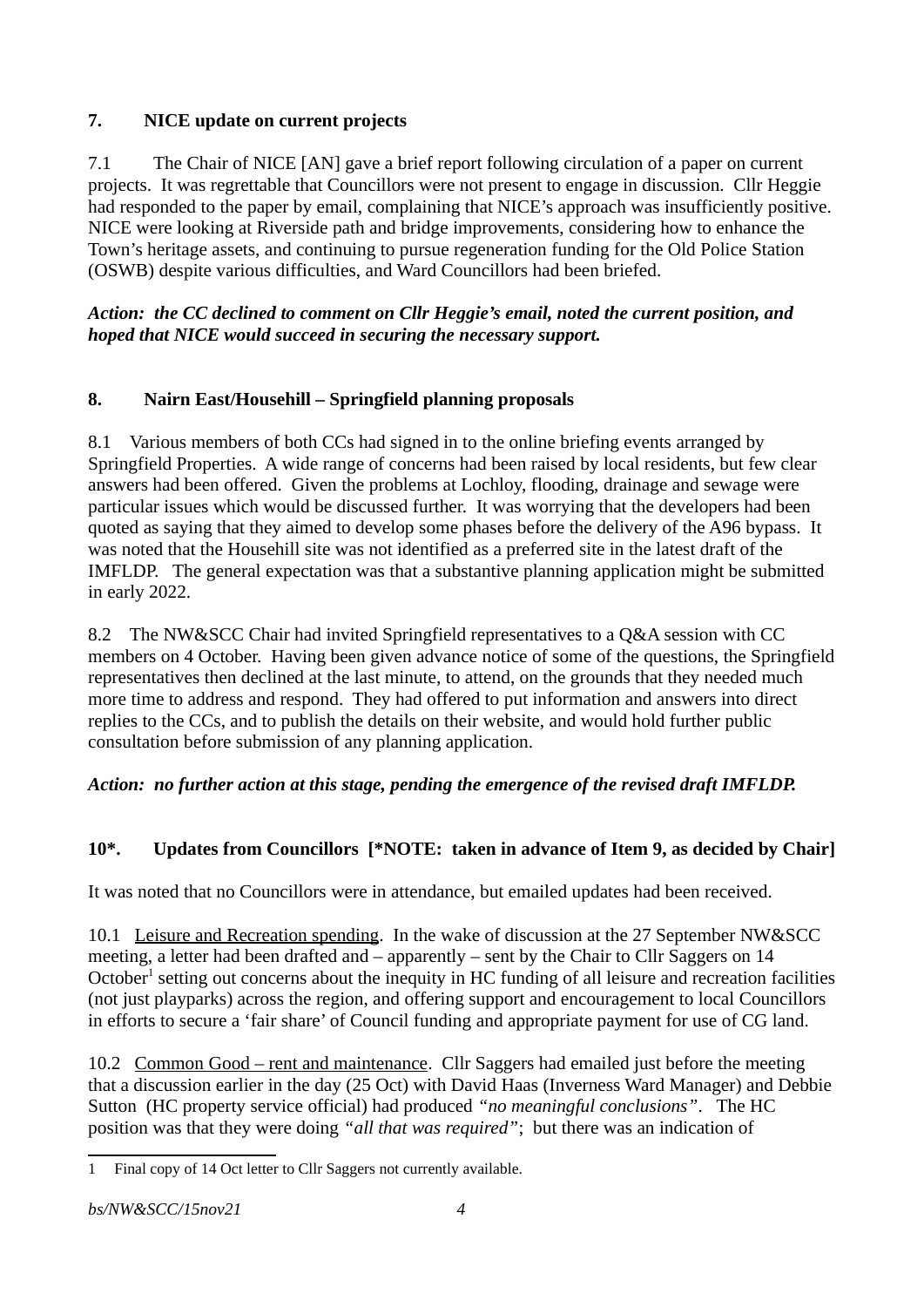## **7. NICE update on current projects**

7.1 The Chair of NICE [AN] gave a brief report following circulation of a paper on current projects. It was regrettable that Councillors were not present to engage in discussion. Cllr Heggie had responded to the paper by email, complaining that NICE's approach was insufficiently positive. NICE were looking at Riverside path and bridge improvements, considering how to enhance the Town's heritage assets, and continuing to pursue regeneration funding for the Old Police Station (OSWB) despite various difficulties, and Ward Councillors had been briefed.

### *Action: the CC declined to comment on Cllr Heggie's email, noted the current position, and hoped that NICE would succeed in securing the necessary support.*

# **8. Nairn East/Househill – Springfield planning proposals**

8.1 Various members of both CCs had signed in to the online briefing events arranged by Springfield Properties. A wide range of concerns had been raised by local residents, but few clear answers had been offered. Given the problems at Lochloy, flooding, drainage and sewage were particular issues which would be discussed further. It was worrying that the developers had been quoted as saying that they aimed to develop some phases before the delivery of the A96 bypass. It was noted that the Househill site was not identified as a preferred site in the latest draft of the IMFLDP. The general expectation was that a substantive planning application might be submitted in early 2022.

8.2 The NW&SCC Chair had invited Springfield representatives to a Q&A session with CC members on 4 October. Having been given advance notice of some of the questions, the Springfield representatives then declined at the last minute, to attend, on the grounds that they needed much more time to address and respond. They had offered to put information and answers into direct replies to the CCs, and to publish the details on their website, and would hold further public consultation before submission of any planning application.

### *Action: no further action at this stage, pending the emergence of the revised draft IMFLDP.*

# **10\*. Updates from Councillors [\*NOTE: taken in advance of Item 9, as decided by Chair]**

It was noted that no Councillors were in attendance, but emailed updates had been received.

10.1 Leisure and Recreation spending. In the wake of discussion at the 27 September NW&SCC meeting, a letter had been drafted and – apparently – sent by the Chair to Cllr Saggers on 14 October<sup>[1](#page-3-0)</sup> setting out concerns about the inequity in HC funding of all leisure and recreation facilities (not just playparks) across the region, and offering support and encouragement to local Councillors in efforts to secure a 'fair share' of Council funding and appropriate payment for use of CG land.

10.2 Common Good – rent and maintenance. Cllr Saggers had emailed just before the meeting that a discussion earlier in the day (25 Oct) with David Haas (Inverness Ward Manager) and Debbie Sutton (HC property service official) had produced *"no meaningful conclusions"*. The HC position was that they were doing *"all that was required"*; but there was an indication of

<span id="page-3-0"></span><sup>1</sup> Final copy of 14 Oct letter to Cllr Saggers not currently available.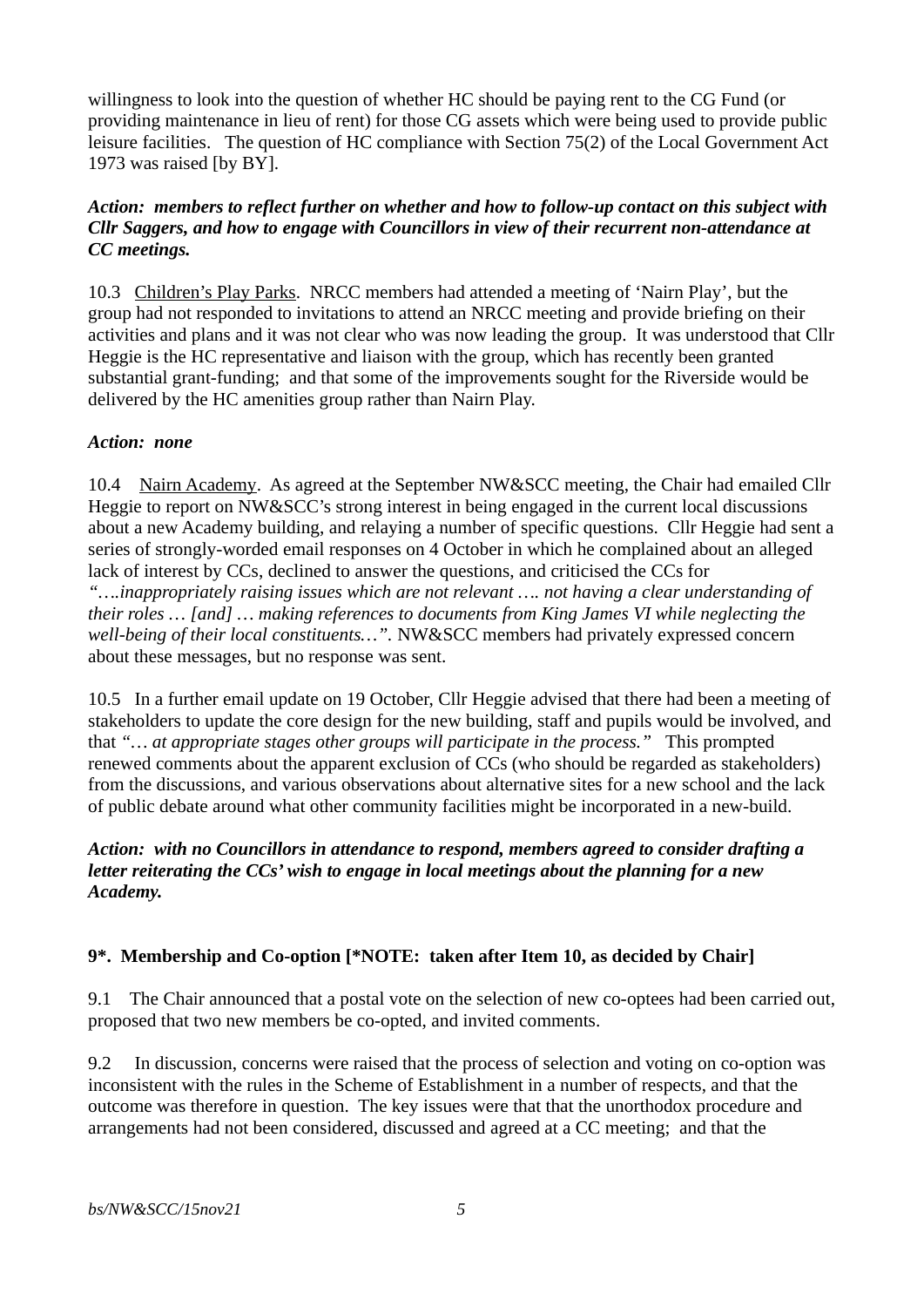willingness to look into the question of whether HC should be paying rent to the CG Fund (or providing maintenance in lieu of rent) for those CG assets which were being used to provide public leisure facilities. The question of HC compliance with Section 75(2) of the Local Government Act 1973 was raised [by BY].

#### *Action: members to reflect further on whether and how to follow-up contact on this subject with Cllr Saggers, and how to engage with Councillors in view of their recurrent non-attendance at CC meetings.*

10.3 Children's Play Parks. NRCC members had attended a meeting of 'Nairn Play', but the group had not responded to invitations to attend an NRCC meeting and provide briefing on their activities and plans and it was not clear who was now leading the group. It was understood that Cllr Heggie is the HC representative and liaison with the group, which has recently been granted substantial grant-funding; and that some of the improvements sought for the Riverside would be delivered by the HC amenities group rather than Nairn Play.

### *Action: none*

10.4 Nairn Academy. As agreed at the September NW&SCC meeting, the Chair had emailed Cllr Heggie to report on NW&SCC's strong interest in being engaged in the current local discussions about a new Academy building, and relaying a number of specific questions. Cllr Heggie had sent a series of strongly-worded email responses on 4 October in which he complained about an alleged lack of interest by CCs, declined to answer the questions, and criticised the CCs for *"….inappropriately raising issues which are not relevant …. not having a clear understanding of their roles … [and] … making references to documents from King James VI while neglecting the well-being of their local constituents…".* NW&SCC members had privately expressed concern about these messages, but no response was sent.

10.5 In a further email update on 19 October, Cllr Heggie advised that there had been a meeting of stakeholders to update the core design for the new building, staff and pupils would be involved, and that *"… at appropriate stages other groups will participate in the process."* This prompted renewed comments about the apparent exclusion of CCs (who should be regarded as stakeholders) from the discussions, and various observations about alternative sites for a new school and the lack of public debate around what other community facilities might be incorporated in a new-build.

### *Action: with no Councillors in attendance to respond, members agreed to consider drafting a letter reiterating the CCs' wish to engage in local meetings about the planning for a new Academy.*

### **9\*. Membership and Co-option [\*NOTE: taken after Item 10, as decided by Chair]**

9.1 The Chair announced that a postal vote on the selection of new co-optees had been carried out, proposed that two new members be co-opted, and invited comments.

9.2 In discussion, concerns were raised that the process of selection and voting on co-option was inconsistent with the rules in the Scheme of Establishment in a number of respects, and that the outcome was therefore in question. The key issues were that that the unorthodox procedure and arrangements had not been considered, discussed and agreed at a CC meeting; and that the